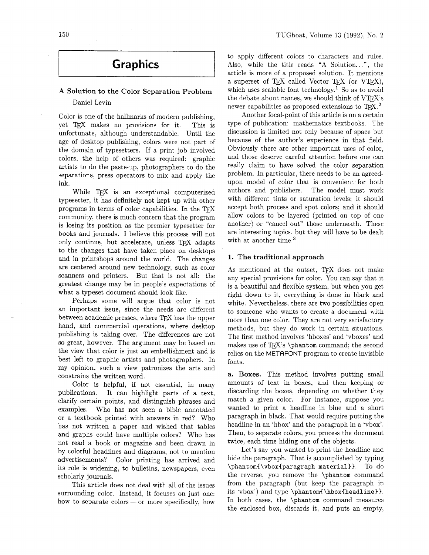# **Graphics**

## **A Solution to the Color Separation Problem**  Daniel Levin

Color is one of the hallmarks of modern publishing, yet makes no provisions for it. This is unfortunate, although understandable. Until the age of desktop publishing, colors were not part of the domain of typesetters. If a print job involved colors, the help of others was required: graphic artists to do the paste-up, photographers to do the separations, press operators to mix and apply the ink.

While TEX is an exceptional computerized typesetter, it has definitely not kept up with other programs in terms of color capabilities. In the TFX community, there is much concern that the program is losing its position as the premier typesetter for books and journals. I believe this process will not only continue, but accelerate, unless TFX adapts to the changes that have taken place on desktops and in printshops around the world. The changes are centered around new technology, such as color scanners and printers. But that is not all: the greatest change may be in people's expectations of what a typeset document should look like.

Perhaps some will argue that color is not an important issue, since the needs are different between academic presses, where TFX has the upper hand, and commercial operations, where desktop publishing is taking over. The differences are not so great, however. The argument may be based on the view that color is just an embellishment and is best left to graphic artists and photographers. In my opinion, such a view patronizes the arts and constrains the written word.

Color is helpful, if not essential, in many publications. It can highlight parts of a text, clarify certain points, and distinguish phrases and examples. Who has not seen a bible annotated or a textbook printed with answers in red? Who has not written a paper and wished that tables and graphs could have multiple colors? Who has not read a book or magazine and been drawn in by colorful headlines and diagrams, not to mention advertisements? Color printing has arrived and its role is widening, to bulletins, newspapers, even scholarly journals.

This article does not deal with all of the issues surrounding color. Instead, it focuses on just one: how to separate colors — or more specifically, how

to apply different colors to characters and rules. Also. while the title reads "A Solution.. .", the article is more of a proposed solution. It mentions a superset of TFX called Vector TFX (or VTFX), which uses scalable font technology.<sup>1</sup> So as to avoid the debate about names, we should think of VTFX's newer capabilities as proposed extensions to  $T_{F}X$ <sup>2</sup>

Another focal-point of this article is on a certain type of publication: mathematics textbooks. The discussion is limited not only because of space but because of the author's experience in that field. Obviously there are other important uses of color, and those deserve careful attention before one can really claim to have solved the color separation problem. In particular, there needs to be an agreedupon model of color that is convenient for both authors and publishers. The model must work with different tints or saturation levels; it should accept both process and spot colors; and it should allow colors to be layered (printed on top of one another) or "cancel out" those underneath. These are interesting topics, but they will have to be dealt with at another time.<sup>3</sup>

#### **1. The traditional approach**

As mentioned at the outset, TEX does not make any special provisions for color. You can say that it is a beautiful and flexible system, but when you get right down to it, everything is done in black and white. Nevertheless, there are two possibilities open to someone who wants to create a document with more than one color. They are not very satisfactory methods, but they do work in certain situations. The first method involves 'hboxes' and 'vboxes' and makes use of TEX's **\phantom** command; the second relies on the METAFONT program to create invisible fonts.

**a. Boxes.** This method involves putting small amounts of text in boxes, and then keeping or discarding the boxes, depending on whether they match a given color. For instance, suppose you wanted to print a headline in blue and a short paragraph in black. That would require putting the headline in an 'hbox' and the paragraph in a 'vbox'. Then, to separate colors, you process the document twice, each time hiding one of the objects.

Let's say you wanted to print the headline and hide the paragraph. That is accomplished by typing **\phantom{\vbox{paragraph material)).** To do the reverse, you remove the **\phantom** command from the paragraph (but keep the paragraph in its 'vbox') and type **\phantom{\hbox{headline)).**  In both cases, the **\phantom** command measures the enclosed box, discards it, and puts an empty,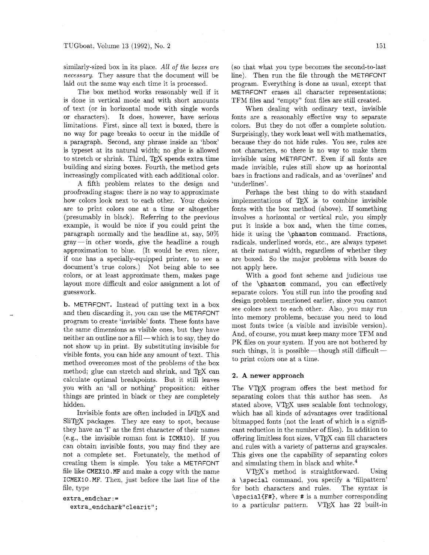similarly-sized box in its place. All of *the boxes are necessary.* They assure that the document will be laid out the same way each time it is processed.

The box method works reasonably well if it is done in vertical mode and with short amounts of text (or in horizontal mode with single words or characters). It does, however, have serious limitations. First, since all text is boxed. there is no way for page breaks to occur in the middle of a paragraph. Second, any phrase inside an 'hbox' is typeset at its natural width; no glue is allowed to stretch or shrink. Third, TEX spends extra time building and sizing boxes. Fourth, the method gets increasingly complicated with each additional color.

A fifth problem relates to the design and proofreading stages: there is no way to approximate how colors look next to each other. Your choices are to print colors one at a time or altogether (presumably in black). Referring to the previous example, it would be nice if you could print the paragraph normally and the headline at, say, 50%  $gray - in$  other words, give the headline a rough approximation to blue. (It would be even nicer, if one has a specially-equipped printer, to see a document's true colors.) Not being able to see colors, or at least approximate them, makes page layout more difficult and color assignment a lot of guesswork.

b. METAFONT. Instead of putting text in a box and then discarding it, you can use the METAFONT program to create 'invisible' fonts. These fonts have the same dimensions as visible ones, but they have neither an outline nor a fill — which is to say, they do not show up in print. By substituting invisible for visible fonts, you can hide any amount of text. This method overcomes most of the problems of the box method; glue can stretch and shrink, and TFX can calculate optimal breakpoints. But it still leaves you with an 'all or nothing' proposition: either things are printed in black or they are completely hidden.

Invisible fonts are often included in IPW and SliTFX packages. They are easy to spot, because they have an 'I' as the first character of their names (e.g., the invisible roman font is ICMRIO). If you can obtain invisible fonts, you may find they are not a complete set. Fortunately, the method of creating them is simple. You take a METAFONT file like CMEXIO .MF and make a copy with the name ICMEX1O.MF. Then, just before the last line of the file, type

extra\_endchar := extra\_endchar&"clearit"; (so that what you type becomes the second-to-last line). Then run the file through the METRFONT program. Everythmg is done as usual, except that METAFONT erases all character representations; TFM files and "empty" font files are still created.

When dealing with ordinary text, invisible fonts are a reasonably effective way to separate colors. But they do not offer a complete solution. Surprisingly, they work least well with mathematics, because they do not hide rules. You see, rules are not characters, so there is no way to make them invisible using METAFONT. Even if all fonts are made invisible, rules still show up as horizontal bars in fractions and radicals, and as 'overlines' and 'underlines'.

Perhaps the best thing to do with standard implementations of TEX is to combine invisible fonts with the box method (above). If something involves a horizontal or vertical rule, you simply put it inside a box and, when the time comes, hide it using the \phantom command. Fractions, radicals, underlined words, etc., are always typeset at their natural width, regardless of whether they are boxed. So the major problems with boxes do not apply here.

With a good font scheme and judicious use of the \phantom command, you can effectively separate colors. You still run into the proofing and design problem mentioned earlier, since you cannot see colors next to each other. Also, you may run into memory problems, because you need to load most fonts twice (a visible and invisible version). And, of course, you must keep many more TFM and PK files on your system. If you are not bothered by such things, it is possible-though still difficultto print colors one at a time.

#### **2. A newer approach**

The VTFX program offers the best method for separating colors that this author has seen. As stated above, VTFX uses scalable font technology, which has all kinds of advantages over traditional bitmapped fonts (not the least of which is a significant reduction in the number of files). In addition to offering limitless font sizes, VTFX can fill characters and rules with a variety of patterns and grayscales. This gives one the capability of separating colors and simulating them in black and white.4

 $V$ TFX's method is straightforward. Using a \special command, you specify a 'fillpattern' for both characters and rules. The syntax is \special(F#), where # is a number corresponding to a particular pattern.  $VTFX$  has 22 built-in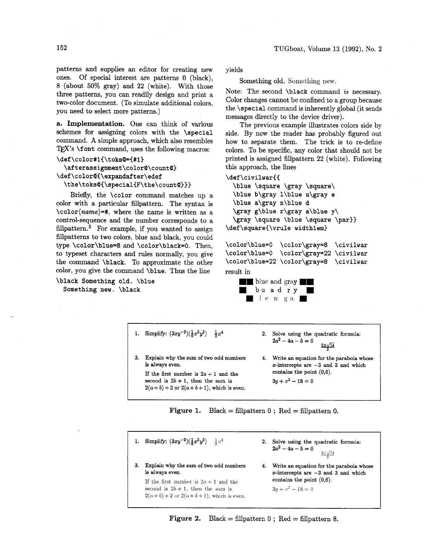patterns and supplies an editor for creating new ones. Of special interest are patterns 0 (black), 8 (about 50% gray) and 22 (white). With those three patterns, you can readily design and print a two-color document. (To simulate additional colors, you need to select more patterns.)

**a. Implementation.** One can think of various schemes for assigning colors with the **\special**  command. **A** simple approach, which also resembles TEX's **\font** command, uses the following macros:

#### **\def\color#l(\toksQ={#l)**

**\afterassignment\colorQ\countQ) \def \colorQ(\expandaf ter\edef**  \the\toks@{\special{F\the\count@}}}

Briefly, the **\color** command matches up a color with a particular fillpattern. The syntax is **\color(name)=#,** where the name is written as a control-sequence and the number corresponds to a fillpattern. $5$  For example, if you wanted to assign fillpatterns to two colors, blue and black, you could type **\color\blue=8** and **\color\black=O.** Then, to typeset characters and rules normally, you give the command **\black.** To approximate the other color, you give the command **\blue.** Thus the line

**\black Something old. \blue Something new. \black** 

yields

Something old. Something new.

Note: The second **\black** command is necessary. Color changes cannot be confined to a group because the **\special** command is inherently global (it sends messages directly to the device driver).

The previous example illustrates colors side by side. By now the reader has probably figured out how to separate them. The trick is to re-define colors. To be specific, any color that should not be printed is assigned fillpattern 22 (white). Following this approach, the lines

#### \def\civilwar{{

\blue \square \gray \square\ \blue b\gray l\blue u\gray e \blue a\gray n\blue d \gray g\blue r\gray a\blue y\ \gray \square \blue \square \par}} \def\square{\vrule width1em}

\color\blue=0 \color\gray=8 \civilwar

result in



1. Simplify:  $(3xy^{-2})(\frac{1}{6}x^3y^2)$   $\frac{1}{2}x^4$  2. Solve using the quadratic formula:  $2a^2 - 4a - 5 = 0$  $2\pm\sqrt{14}$ 3. Explain why the sum of two odd numbers **4.** Write an equation for the parabola whose is always even.  $x$ -intercepts are  $-3$  and 3 and which If the first number is  $2a + 1$  and the contains the point  $(0,6)$ .<br>second is  $2b + 1$ , then the sum is  $3y + x^2 - 18 = 0$ second is  $2b + 1$ , then the sum is  $2(a + b) + 2$  or  $2(a + b + 1)$ , which is even.

**Figure 1.** Black = fillpattern  $0$ ; Red = fillpattern 0.

1. Simplify:  $(3xy^{-2})(\frac{1}{6}x^3y^2)$   $\frac{1}{2}x^4$  2. Solve using the quadratic formula:<br> $2a^2 - 4a - 5 = 0$  $2 + \sqrt{14}$ 3. Explain why the sum of two odd numbers 4. Write an equation for the parabola whose is always even.  $x$ -intercepts are  $-3$  and 3 and which If the first number is  $2a + 1$  and the contains the point (0,6).<br>second is  $2b + 1$ , then the sum is  $3y + x^2 - 18 = 0$ second is  $2b + 1$ , then the sum is  $2(a + b) + 2$  or  $2(a + b + 1)$ , which is even.

**Figure 2.** Black = fillpattern 0 ; Red = fillpattern 8.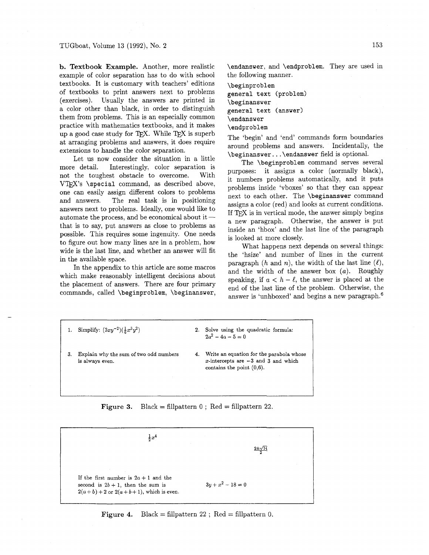b. Textbook Example. Another, more realistic example of color separation has to do with school textbooks. It is customary with teachers' editions of textbooks to print answers next to problems (exercises). Usually the answers are printed in a color other than black, in order to distinguish them from problems. This is an especially common practice with mathematics textbooks, and it makes up a good case study for TEX. While  $TEX$  is superb at arranging problems and answers, it does require extensions to handle the color separation.

Let us now consider the situation in a little more detail. Interestingly, color separation is not the toughest obstacle to overcome. With  $VTFX's \simeq$  command, as described above, one can easily assign different colors to problems and answers. The real task is in positioning and answers. The real task is in positioning<br>answers next to problems. Ideally, one would like to<br>automate the process, and be economical about it that is to say, put answers as close to problems as possible. This requires some ingenuity. One needs to figure out how many lines are in a problem, how wide is the last line, and whether an answer will fit in the available space.

In the appendix to this article are some macros which make reasonably intelligent decisions about the placement of answers. There are four primary commands, called \beginproblem, \beginanswer,

L

\endanswer, and \endproblem. They are used in the following manner.

\beginproblem general text (problem) \beginanswer general text (answer) \endanswer \endproblem

The 'begin' and 'end' commands form boundaries around problems and answers. Incidentally, the \beginanswer. . . \endanswer field is optional.

The \beginproblem command serves several purposes: it assigns a color (normally black), it numbers problems automatically, and it puts problems inside 'vboxes' so that they can appear next to each other. The \beginanswer command assigns a color (red) and looks at current conditions. If TEX is in vertical mode, the answer simply begins a new paragraph. Otherwise, the answer is put inside an 'hbox' and the last line of the paragraph is looked at more closely.

What happens next depends on several things: the 'hsize' and number of lines in the current paragraph  $(h \text{ and } n)$ , the width of the last line  $(\ell)$ , and the width of the answer box  $(a)$ . Roughly speaking, if  $a < h - \ell$ , the answer is placed at the end of the last line of the problem. Otherwise, the answer is 'unhboxed' and begins a new paragraph.6

- 1. Simplify:  $(3xy^{-2})(\frac{1}{6}x^3y^2)$  2. Solve using the quadratic formula:  $2a^2 - 4a - 5 = 0$ 3. Explain why the sum of two odd numbers **4.** Write an equation for the parabola whose
	- is always even. x-intercepts are **-3** and **3** and which contains the point **(0,6).**

### Figure 3. Black = fillpattern 0; Red = fillpattern 22.

$$
\frac{1}{2}x^4
$$
\n
$$
\frac{2 \pm \sqrt{14}}{2}
$$
\nIf the first number is 2a + 1 and the second is 2b + 1, then the sum is  
\n
$$
2(a + b) + 2 \text{ or } 2(a + b + 1)
$$
, which is even.

**Figure 4.** Black = fillpattern 22 ; Red = fillpattern 0.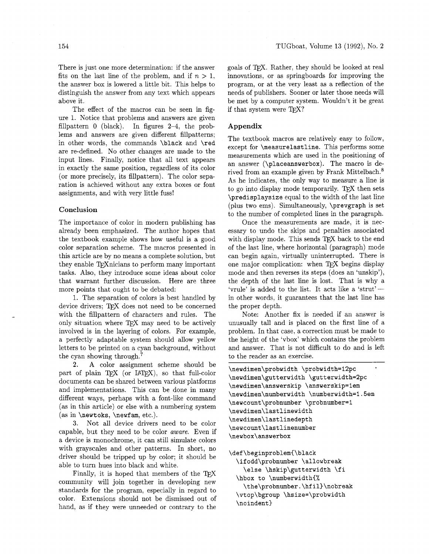There is just one more determination: if the answer fits on the last line of the problem, and if  $n > 1$ , the answer box is lowered a little bit. This helps to distinguish the answer from any text which appears above it.

The effect of the macros can be seen in figure 1. Notice that problems and answers are given fillpattern 0 (black). In figures 2-4, the problems and answers are given different fillpatterns; in other words, the commands \black and \red are re-defined. No other changes are made to the input lines. Finally, notice that all text appears in exactly the same position, regardless of its color (or more precisely, its fillpattern). The color separation is achieved without any extra boxes or font assignments, and with very little fuss!

#### **Conclusion**

The importance of color in modern publishing has already been emphasized. The author hopes that the textbook example shows how useful is a good color separation scheme. The macros presented in this article are by no means a complete solution, but they enable T<sub>F</sub>Xnicians to perform many important tasks. Also, they introduce some ideas about color that warrant further discussion. Here are three more points that ought to be debated:

1. The separation of colors is best handled by device drivers; TFX does not need to be concerned with the fillpattern of characters and rules. The only situation where TEX may need to be actively involved is in the layering of colors. For example, a perfectly adaptable system should allow yellow letters to be printed on a cyan background, without the cyan showing through.7

**2. A** color assignment scheme should be part of plain  $T_{\rm F}X$  (or  $IAT_{\rm F}X$ ), so that full-color documents can be shared between various platforms and implementations. This can be done in many different ways, perhaps with a font-like command (as in this article) or else with a numbering system (as in \newtoks, \newfam, etc.).

**3.** Not all device drivers need to be color capable, but they need to be color aware. Even if a device is monochrome, it can still simulate colors with grayscales and other patterns. In short, no driver should be tripped up by color; it should be able to turn hues into black and white.

Finally, it is hoped that members of the TFX community will join together in developing new standards for the program, especially in regard to color. Extensions should not be dismissed out of hand, as if they were unneeded or contrary to the goals of TFX. Rather, they should be looked at real innovations, or as springboards for improving the program, or at the very least as a reflection of the needs of publishers. Sooner or later those needs will be met by a computer system. Wouldn't it be great if that system were  $TFX$ ?

## **Appendix**

The textbook macros are relatively easy to follow, except for \measurelastline. This performs some measurements which are used in the positioning of an answer (\placeanswerbox). The macro is derived from an example given by Frank Mittelbach. $8$ As he indicates, the only way to measure a line is to go into display mode temporarily. T<sub>EX</sub> then sets \predisplaysize equal to the width of the last line (plus two ems). Simultaneously, \prevgraph is set to the number of completed lines in the paragraph.

Once the measurements are made, it is necessary to undo the skips and penalties associated with display mode. This sends TEX back to the end of the last line, where horizontal (paragraph) mode can begin again, virtually uninterrupted. There is one major complication: when  $T_{\text{F}}X$  begins display mode and then reverses its steps (does an 'unskip'), the depth of the last line is lost. That is why a 'vrule' is added to the list. It acts like a 'strut'-in other words, it guarantees that the last line has the proper depth.

Note: Another fix is needed if an answer is unusually tall and is placed on the first line of a problem. In that case, a correction must be made to the height of the 'vbox' which contains the problem and answer. That is not difficult to do and is left to the reader as an exercise.

```
\newdimen\probwidth \probwidth=12pc
\newdimen\gutterwidth \gutterwidth=2pc
\newdimen\answerskip \answerskip=1em
\newdimen\numberwidth \numberwidth=1.5em
\newcount\probnumber \probnumber=1
\newdimen\lastlinewidth
\newdimen\lastlinedepth
\newcount\lastlinenumber
\newbox\answerbox
```

```
\def\beginproblem{\black
  \ifodd\probnumber \allowbreak
    \else \hskip\gutterwidth \fi
  \hbox to \numberwidth{%
    \the\probnumber.\hfil}\nobreak
  \vtop\bgroup \hsize=\probwidth
  \noindent}
```